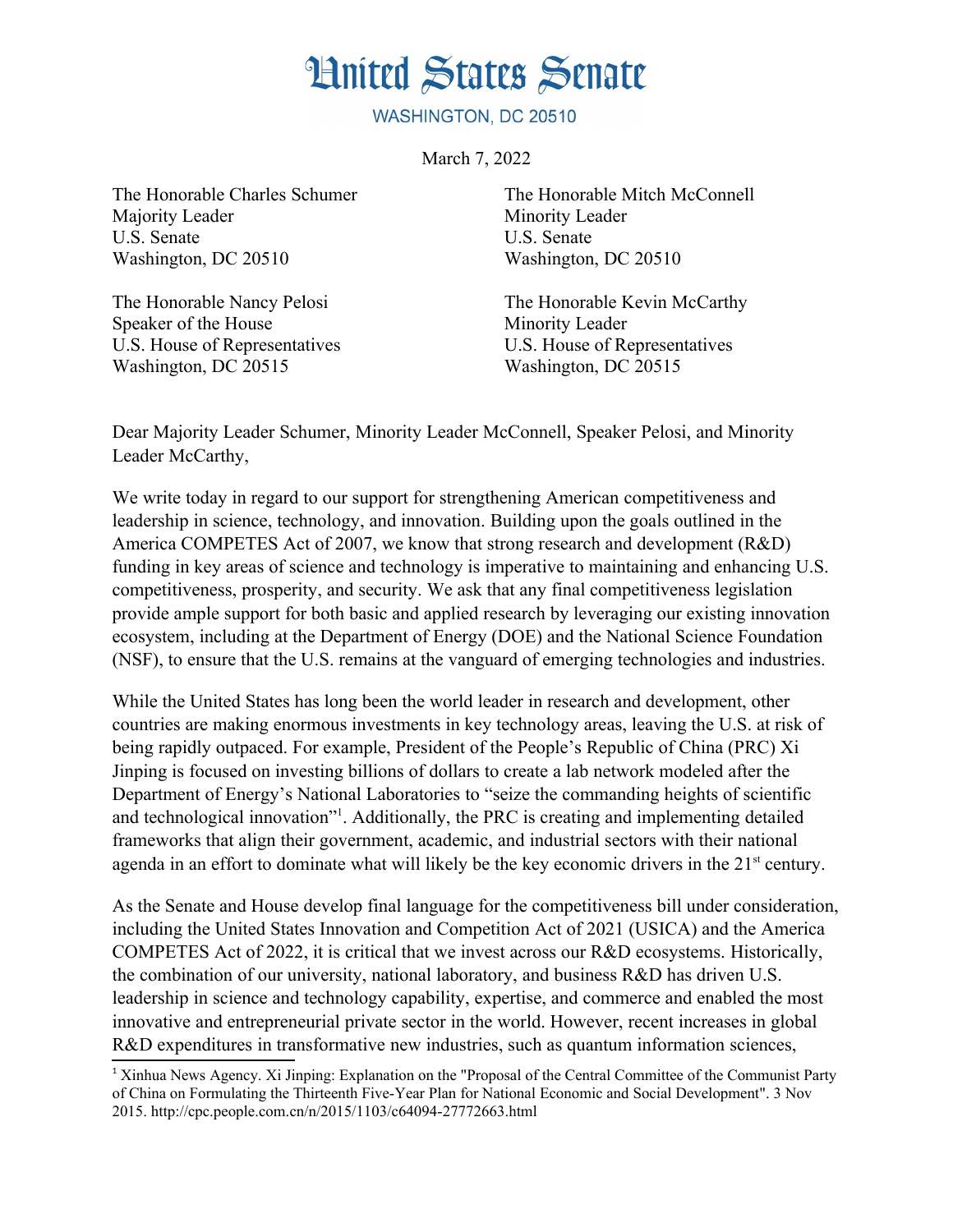## **Hnited States Senate**

WASHINGTON, DC 20510

March 7, 2022

Majority Leader Minority Leader U.S. Senate U.S. Senate Washington, DC 20510 Washington, DC 20510

Speaker of the House Minority Leader U.S. House of Representatives U.S. House of Representatives Washington, DC 20515 Washington, DC 20515

The Honorable Charles Schumer The Honorable Mitch McConnell

The Honorable Nancy Pelosi The Honorable Kevin McCarthy

Dear Majority Leader Schumer, Minority Leader McConnell, Speaker Pelosi, and Minority Leader McCarthy,

We write today in regard to our support for strengthening American competitiveness and leadership in science, technology, and innovation. Building upon the goals outlined in the America COMPETES Act of 2007, we know that strong research and development (R&D) funding in key areas of science and technology is imperative to maintaining and enhancing U.S. competitiveness, prosperity, and security. We ask that any final competitiveness legislation provide ample support for both basic and applied research by leveraging our existing innovation ecosystem, including at the Department of Energy (DOE) and the National Science Foundation (NSF), to ensure that the U.S. remains at the vanguard of emerging technologies and industries.

While the United States has long been the world leader in research and development, other countries are making enormous investments in key technology areas, leaving the U.S. at risk of being rapidly outpaced. For example, President of the People's Republic of China (PRC) Xi Jinping is focused on investing billions of dollars to create a lab network modeled after the Department of Energy's National Laboratories to "seize the commanding heights of scientific and technological innovation<sup>"[1](#page-0-1)</sup>. Additionally, the PRC is creating and implementing detailed frameworks that align their government, academic, and industrial sectors with their national agenda in an effort to dominate what will likely be the key economic drivers in the 21<sup>st</sup> century.

<span id="page-0-0"></span>As the Senate and House develop final language for the competitiveness bill under consideration, including the United States Innovation and Competition Act of 2021 (USICA) and the America COMPETES Act of 2022, it is critical that we invest across our R&D ecosystems. Historically, the combination of our university, national laboratory, and business R&D has driven U.S. leadership in science and technology capability, expertise, and commerce and enabled the most innovative and entrepreneurial private sector in the world. However, recent increases in global R&D expenditures in transformative new industries, such as quantum information sciences,

<span id="page-0-1"></span><sup>&</sup>lt;sup>[1](#page-0-0)</sup> Xinhua News Agency. Xi Jinping: Explanation on the "Proposal of the Central Committee of the Communist Party of China on Formulating the Thirteenth Five-Year Plan for National Economic and Social Development". 3 Nov 2015. http://cpc.people.com.cn/n/2015/1103/c64094-27772663.html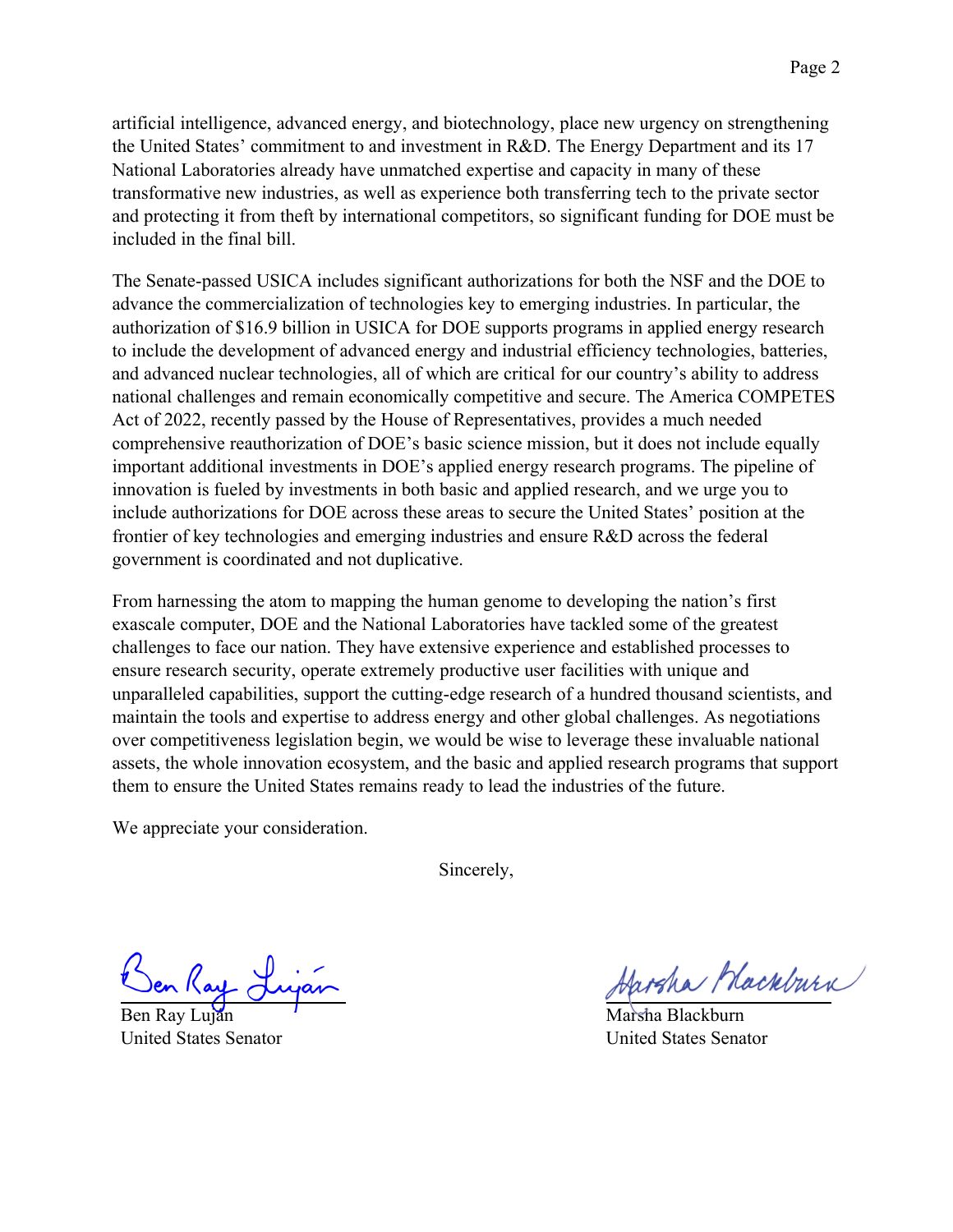artificial intelligence, advanced energy, and biotechnology, place new urgency on strengthening the United States' commitment to and investment in R&D. The Energy Department and its 17 National Laboratories already have unmatched expertise and capacity in many of these transformative new industries, as well as experience both transferring tech to the private sector and protecting it from theft by international competitors, so significant funding for DOE must be included in the final bill.

The Senate-passed USICA includes significant authorizations for both the NSF and the DOE to advance the commercialization of technologies key to emerging industries. In particular, the authorization of \$16.9 billion in USICA for DOE supports programs in applied energy research to include the development of advanced energy and industrial efficiency technologies, batteries, and advanced nuclear technologies, all of which are critical for our country's ability to address national challenges and remain economically competitive and secure. The America COMPETES Act of 2022, recently passed by the House of Representatives, provides a much needed comprehensive reauthorization of DOE's basic science mission, but it does not include equally important additional investments in DOE's applied energy research programs. The pipeline of innovation is fueled by investments in both basic and applied research, and we urge you to include authorizations for DOE across these areas to secure the United States' position at the frontier of key technologies and emerging industries and ensure R&D across the federal government is coordinated and not duplicative.

From harnessing the atom to mapping the human genome to developing the nation's first exascale computer, DOE and the National Laboratories have tackled some of the greatest challenges to face our nation. They have extensive experience and established processes to ensure research security, operate extremely productive user facilities with unique and unparalleled capabilities, support the cutting-edge research of a hundred thousand scientists, and maintain the tools and expertise to address energy and other global challenges. As negotiations over competitiveness legislation begin, we would be wise to leverage these invaluable national assets, the whole innovation ecosystem, and the basic and applied research programs that support them to ensure the United States remains ready to lead the industries of the future.

We appreciate your consideration.

Sincerely,

Ben Ray Luján United States Senator

Harsha Mackburn

Marsha Blackburn United States Senator